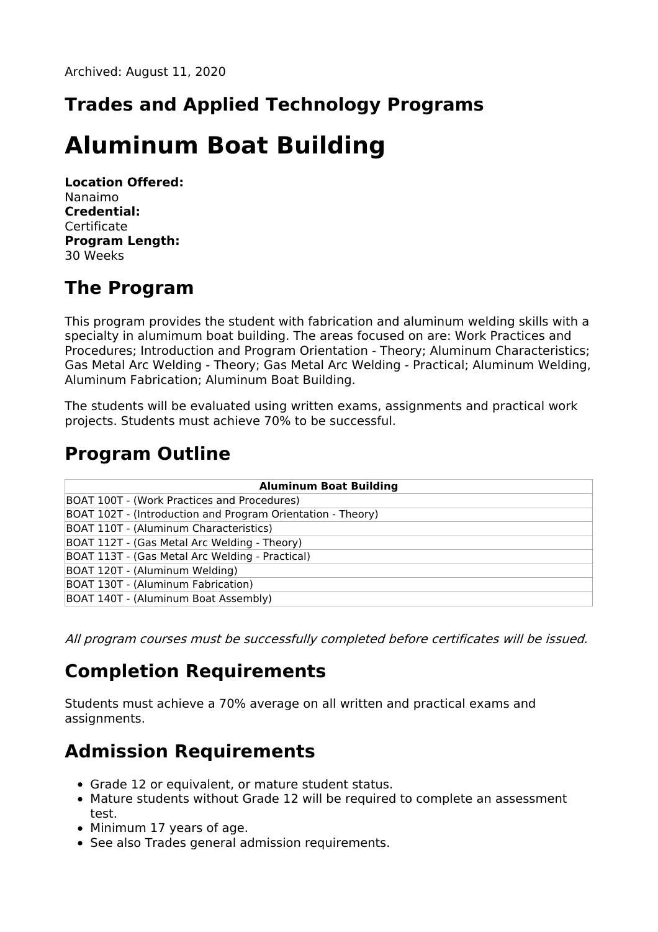## **Trades and Applied Technology Programs**

# **Aluminum Boat Building**

**Location Offered:** Nanaimo **Credential: Certificate Program Length:** 30 Weeks

### **The Program**

This program provides the student with fabrication and aluminum welding skills with a specialty in alumimum boat building. The areas focused on are: Work Practices and Procedures; Introduction and Program Orientation - Theory; Aluminum Characteristics; Gas Metal Arc Welding - Theory; Gas Metal Arc Welding - Practical; Aluminum Welding, Aluminum Fabrication; Aluminum Boat Building.

The students will be evaluated using written exams, assignments and practical work projects. Students must achieve 70% to be successful.

#### **Program Outline**

| <b>Aluminum Boat Building</b>                               |
|-------------------------------------------------------------|
| BOAT 100T - (Work Practices and Procedures)                 |
| BOAT 102T - (Introduction and Program Orientation - Theory) |
| BOAT 110T - (Aluminum Characteristics)                      |
| BOAT 112T - (Gas Metal Arc Welding - Theory)                |
| BOAT 113T - (Gas Metal Arc Welding - Practical)             |
| BOAT 120T - (Aluminum Welding)                              |
| BOAT 130T - (Aluminum Fabrication)                          |
| BOAT 140T - (Aluminum Boat Assembly)                        |

All program courses must be successfully completed before certificates will be issued.

### **Completion Requirements**

Students must achieve a 70% average on all written and practical exams and assignments.

### **Admission Requirements**

- Grade 12 or equivalent, or mature student status.
- Mature students without Grade 12 will be required to complete an assessment test.
- Minimum 17 years of age.
- See also Trades general admission requirements.